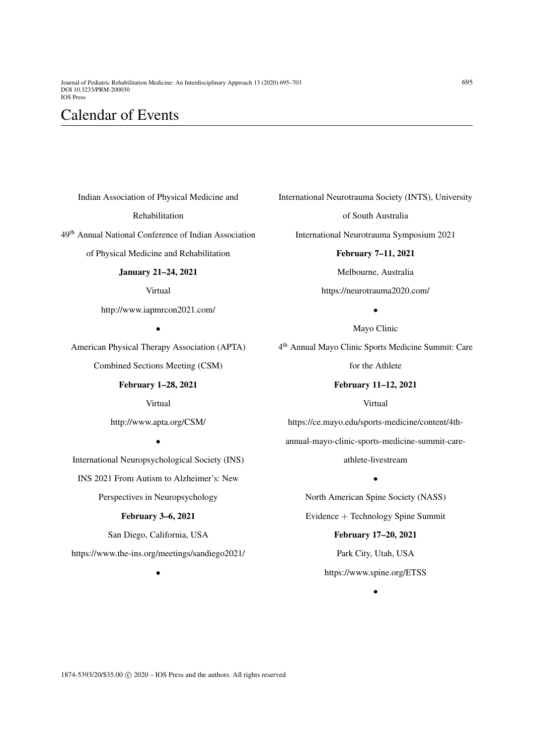Indian Association of Physical Medicine and

#### Rehabilitation

49th Annual National Conference of Indian Association

of Physical Medicine and Rehabilitation

## January 21–24, 2021

Virtual

http://www.iapmrcon2021.com/

•

American Physical Therapy Association (APTA)

Combined Sections Meeting (CSM)

### February 1–28, 2021

Virtual

http://www.apta.org/CSM/

•

International Neuropsychological Society (INS)

INS 2021 From Autism to Alzheimer's: New

Perspectives in Neuropsychology

## February 3–6, 2021

San Diego, California, USA https://www.the-ins.org/meetings/sandiego2021/

•

International Neurotrauma Society (INTS), University

of South Australia

International Neurotrauma Symposium 2021

February 7–11, 2021 Melbourne, Australia https://neurotrauma2020.com/

> • Mayo Clinic

4 th Annual Mayo Clinic Sports Medicine Summit: Care

for the Athlete

### February 11–12, 2021

Virtual

https://ce.mayo.edu/sports-medicine/content/4thannual-mayo-clinic-sports-medicine-summit-care-

athlete-livestream

•

North American Spine Society (NASS) Evidence + Technology Spine Summit

> February 17–20, 2021 Park City, Utah, USA https://www.spine.org/ETSS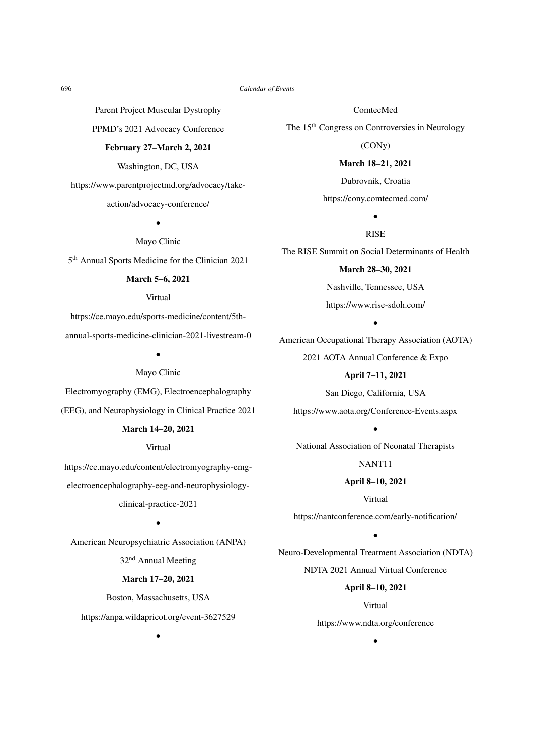Parent Project Muscular Dystrophy

PPMD's 2021 Advocacy Conference

### February 27–March 2, 2021

Washington, DC, USA

https://www.parentprojectmd.org/advocacy/take-

### action/advocacy-conference/

•

Mayo Clinic

5<sup>th</sup> Annual Sports Medicine for the Clinician 2021

#### March 5–6, 2021

### Virtual

https://ce.mayo.edu/sports-medicine/content/5th-

annual-sports-medicine-clinician-2021-livestream-0

•

### Mayo Clinic

Electromyography (EMG), Electroencephalography (EEG), and Neurophysiology in Clinical Practice 2021

# March 14–20, 2021

Virtual

https://ce.mayo.edu/content/electromyography-emgelectroencephalography-eeg-and-neurophysiology-

clinical-practice-2021

•

American Neuropsychiatric Association (ANPA)

32nd Annual Meeting

### March 17–20, 2021

Boston, Massachusetts, USA https://anpa.wildapricot.org/event-3627529

•

ComtecMed

The 15th Congress on Controversies in Neurology

(CONy)

March 18–21, 2021

Dubrovnik, Croatia https://cony.comtecmed.com/

> • RISE

The RISE Summit on Social Determinants of Health

March 28–30, 2021 Nashville, Tennessee, USA

https://www.rise-sdoh.com/

•

American Occupational Therapy Association (AOTA) 2021 AOTA Annual Conference & Expo

April 7–11, 2021

San Diego, California, USA https://www.aota.org/Conference-Events.aspx

•

National Association of Neonatal Therapists

NANT11

April 8–10, 2021

Virtual

https://nantconference.com/early-notification/

•

Neuro-Developmental Treatment Association (NDTA) NDTA 2021 Annual Virtual Conference

April 8–10, 2021

Virtual https://www.ndta.org/conference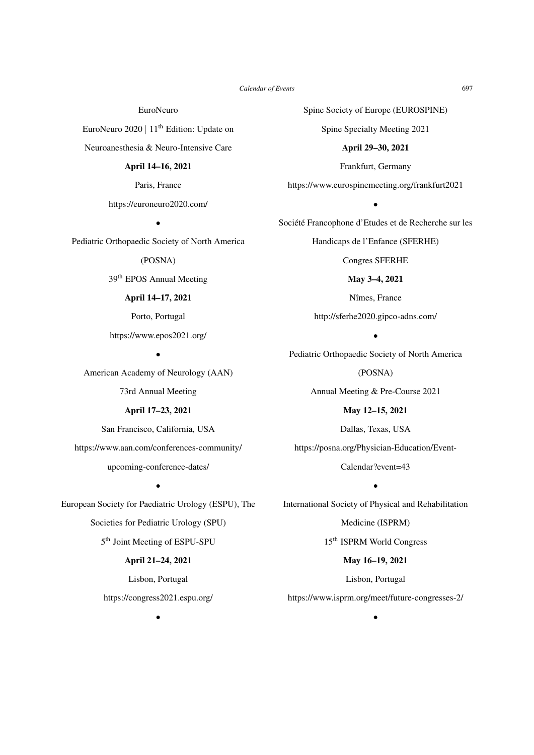EuroNeuro

EuroNeuro 2020 | 11th Edition: Update on Neuroanesthesia & Neuro-Intensive Care

### April 14–16, 2021

Paris, France https://euroneuro2020.com/

•

Pediatric Orthopaedic Society of North America

(POSNA)

39th EPOS Annual Meeting

# April 14–17, 2021

Porto, Portugal

https://www.epos2021.org/ •

American Academy of Neurology (AAN)

73rd Annual Meeting

# April 17–23, 2021

San Francisco, California, USA https://www.aan.com/conferences-community/ upcoming-conference-dates/

•

European Society for Paediatric Urology (ESPU), The Societies for Pediatric Urology (SPU) 5 th Joint Meeting of ESPU-SPU

### April 21–24, 2021

Lisbon, Portugal

https://congress2021.espu.org/

Spine Society of Europe (EUROSPINE)

Spine Specialty Meeting 2021

April 29–30, 2021

Frankfurt, Germany

https://www.eurospinemeeting.org/frankfurt2021

•

Société Francophone d'Etudes et de Recherche sur les

Handicaps de l'Enfance (SFERHE)

Congres SFERHE

May 3–4, 2021 Nîmes, France

http://sferhe2020.gipco-adns.com/

• Pediatric Orthopaedic Society of North America

(POSNA)

Annual Meeting & Pre-Course 2021

May 12–15, 2021 Dallas, Texas, USA https://posna.org/Physician-Education/Event-

> Calendar?event=43 •

International Society of Physical and Rehabilitation

Medicine (ISPRM)

15th ISPRM World Congress

May 16–19, 2021

Lisbon, Portugal

https://www.isprm.org/meet/future-congresses-2/

•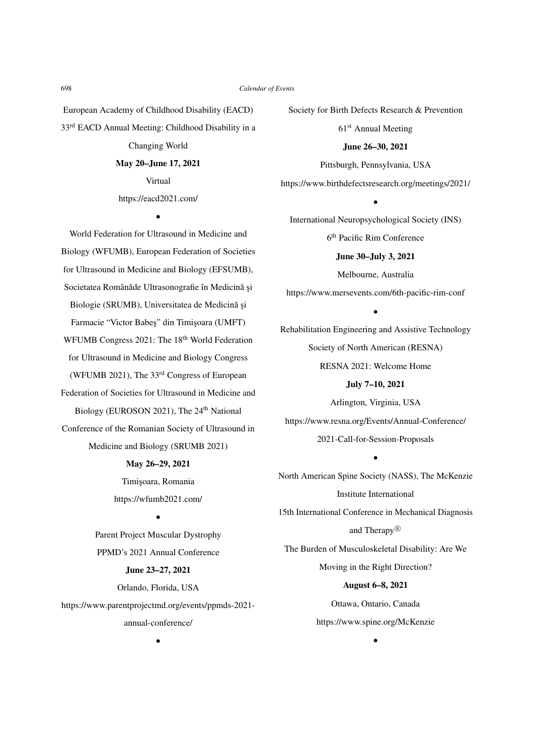European Academy of Childhood Disability (EACD) 33rd EACD Annual Meeting: Childhood Disability in a Changing World

# May 20–June 17, 2021

Virtual https://eacd2021.com/

•

World Federation for Ultrasound in Medicine and Biology (WFUMB), European Federation of Societies for Ultrasound in Medicine and Biology (EFSUMB), Societatea Românăde Ultrasonografie în Medicină și Biologie (SRUMB), Universitatea de Medicină și Farmacie "Victor Babes" din Timisoara (UMFT) WFUMB Congress 2021: The 18<sup>th</sup> World Federation for Ultrasound in Medicine and Biology Congress (WFUMB 2021), The 33rd Congress of European Federation of Societies for Ultrasound in Medicine and Biology (EUROSON 2021), The 24<sup>th</sup> National Conference of the Romanian Society of Ultrasound in Medicine and Biology (SRUMB 2021) May 26–29, 2021

> Timişoara, Romania https://wfumb2021.com/

> > •

Parent Project Muscular Dystrophy PPMD's 2021 Annual Conference June 23–27, 2021 Orlando, Florida, USA https://www.parentprojectmd.org/events/ppmds-2021-

annual-conference/

•

Society for Birth Defects Research & Prevention 61<sup>st</sup> Annual Meeting June 26–30, 2021 Pittsburgh, Pennsylvania, USA https://www.birthdefectsresearch.org/meetings/2021/

• International Neuropsychological Society (INS)

6 th Pacific Rim Conference

June 30–July 3, 2021

Melbourne, Australia

https://www.mersevents.com/6th-pacific-rim-conf

•

Rehabilitation Engineering and Assistive Technology Society of North American (RESNA) RESNA 2021: Welcome Home

July 7–10, 2021

Arlington, Virginia, USA https://www.resna.org/Events/Annual-Conference/ 2021-Call-for-Session-Proposals

•

North American Spine Society (NASS), The McKenzie Institute International 15th International Conference in Mechanical Diagnosis and Therapy <sup>R</sup> The Burden of Musculoskeletal Disability: Are We Moving in the Right Direction? August 6–8, 2021

> Ottawa, Ontario, Canada https://www.spine.org/McKenzie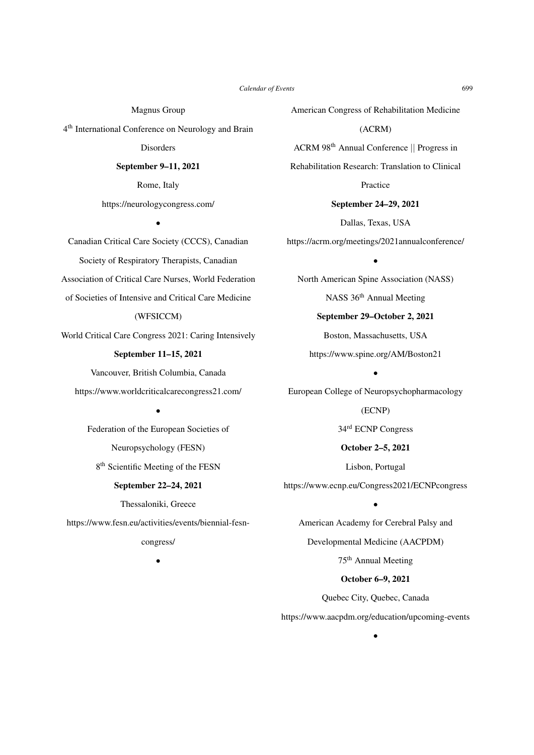Magnus Group

4 th International Conference on Neurology and Brain

**Disorders** 

September 9–11, 2021

Rome, Italy https://neurologycongress.com/

•

Canadian Critical Care Society (CCCS), Canadian Society of Respiratory Therapists, Canadian Association of Critical Care Nurses, World Federation of Societies of Intensive and Critical Care Medicine (WFSICCM) World Critical Care Congress 2021: Caring Intensively September 11–15, 2021 Vancouver, British Columbia, Canada https://www.worldcriticalcarecongress21.com/ •

> Federation of the European Societies of Neuropsychology (FESN) 8<sup>th</sup> Scientific Meeting of the FESN

### September 22–24, 2021

Thessaloniki, Greece

https://www.fesn.eu/activities/events/biennial-fesn-

congress/

•

American Congress of Rehabilitation Medicine

(ACRM) ACRM 98th Annual Conference || Progress in

Rehabilitation Research: Translation to Clinical

Practice

September 24–29, 2021 Dallas, Texas, USA

https://acrm.org/meetings/2021annualconference/

•

North American Spine Association (NASS) NASS 36<sup>th</sup> Annual Meeting

> September 29–October 2, 2021 Boston, Massachusetts, USA

https://www.spine.org/AM/Boston21 •

European College of Neuropsychopharmacology

(ECNP)

34rd ECNP Congress

October 2–5, 2021

Lisbon, Portugal https://www.ecnp.eu/Congress2021/ECNPcongress

•

American Academy for Cerebral Palsy and

Developmental Medicine (AACPDM)

75th Annual Meeting

October 6–9, 2021

Quebec City, Quebec, Canada

https://www.aacpdm.org/education/upcoming-events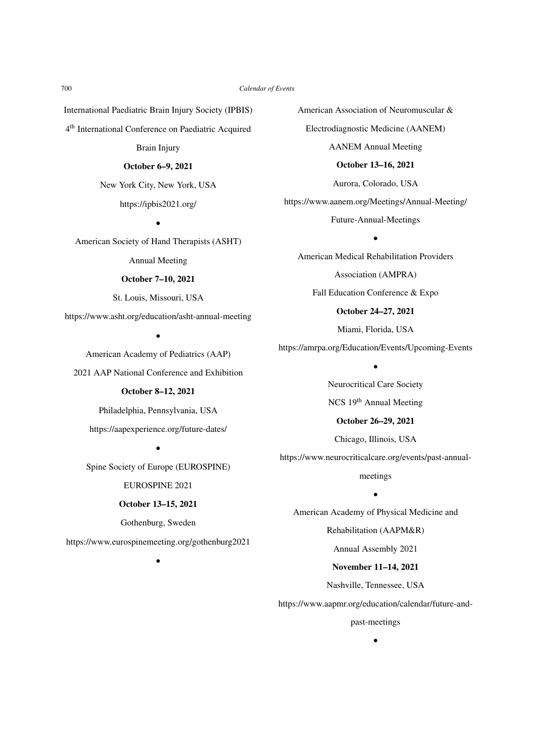International Paediatric Brain Injury Society (IPBIS)

4 th International Conference on Paediatric Acquired

Brain Injury

### October 6–9, 2021

New York City, New York, USA

# https://ipbis2021.org/

•

American Society of Hand Therapists (ASHT)

Annual Meeting

### October 7–10, 2021

St. Louis, Missouri, USA

https://www.asht.org/education/asht-annual-meeting

•

American Academy of Pediatrics (AAP)

2021 AAP National Conference and Exhibition

# October 8–12, 2021

Philadelphia, Pennsylvania, USA https://aapexperience.org/future-dates/

•

Spine Society of Europe (EUROSPINE) EUROSPINE 2021

October 13–15, 2021

Gothenburg, Sweden

https://www.eurospinemeeting.org/gothenburg2021

•

American Association of Neuromuscular & Electrodiagnostic Medicine (AANEM) AANEM Annual Meeting October 13–16, 2021 Aurora, Colorado, USA https://www.aanem.org/Meetings/Annual-Meeting/

Future-Annual-Meetings

• American Medical Rehabilitation Providers Association (AMPRA) Fall Education Conference & Expo October 24–27, 2021

Miami, Florida, USA

https://amrpa.org/Education/Events/Upcoming-Events •

> Neurocritical Care Society NCS 19th Annual Meeting

October 26–29, 2021 Chicago, Illinois, USA

https://www.neurocriticalcare.org/events/past-annual-

meetings

• American Academy of Physical Medicine and

Rehabilitation (AAPM&R)

Annual Assembly 2021

November 11–14, 2021

Nashville, Tennessee, USA

https://www.aapmr.org/education/calendar/future-and-

past-meetings •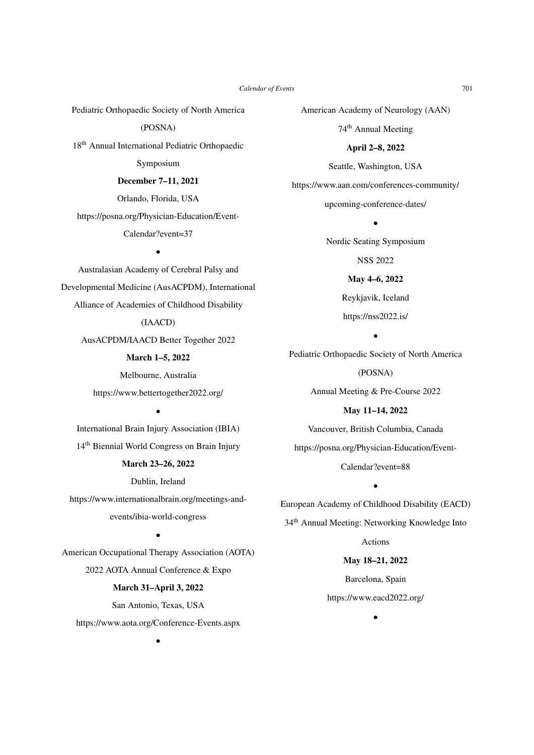Pediatric Orthopaedic Society of North America

(POSNA)

18th Annual International Pediatric Orthopaedic

Symposium

#### December 7–11, 2021

Orlando, Florida, USA

https://posna.org/Physician-Education/Event-

### Calendar?event=37

•

Australasian Academy of Cerebral Palsy and Developmental Medicine (AusACPDM), International Alliance of Academies of Childhood Disability

# (IAACD)

AusACPDM/IAACD Better Together 2022

March 1–5, 2022

Melbourne, Australia https://www.bettertogether2022.org/

•

International Brain Injury Association (IBIA) 14th Biennial World Congress on Brain Injury

# March 23–26, 2022

Dublin, Ireland

https://www.internationalbrain.org/meetings-andevents/ibia-world-congress

•

American Occupational Therapy Association (AOTA) 2022 AOTA Annual Conference & Expo

### March 31–April 3, 2022

San Antonio, Texas, USA https://www.aota.org/Conference-Events.aspx

•

American Academy of Neurology (AAN) 74th Annual Meeting

April 2–8, 2022

Seattle, Washington, USA https://www.aan.com/conferences-community/ upcoming-conference-dates/

> Nordic Seating Symposium NSS 2022 May 4–6, 2022

•

Reykjavik, Iceland https://nss2022.is/

•

Pediatric Orthopaedic Society of North America (POSNA)

Annual Meeting & Pre-Course 2022

May 11–14, 2022 Vancouver, British Columbia, Canada https://posna.org/Physician-Education/Event-Calendar?event=88

European Academy of Childhood Disability (EACD) 34th Annual Meeting: Networking Knowledge Into Actions

•

May 18–21, 2022 Barcelona, Spain

https://www.eacd2022.org/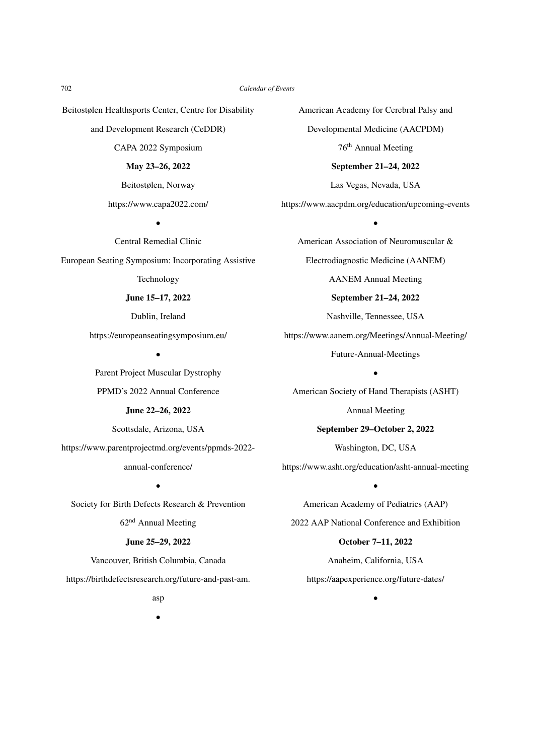Beitostølen Healthsports Center, Centre for Disability

and Development Research (CeDDR)

CAPA 2022 Symposium

#### May 23–26, 2022

Beitostølen, Norway

https://www.capa2022.com/

•

Central Remedial Clinic European Seating Symposium: Incorporating Assistive Technology

June 15–17, 2022

Dublin, Ireland

https://europeanseatingsymposium.eu/

•

Parent Project Muscular Dystrophy PPMD's 2022 Annual Conference

#### June 22–26, 2022

Scottsdale, Arizona, USA

https://www.parentprojectmd.org/events/ppmds-2022-

### annual-conference/

•

Society for Birth Defects Research & Prevention 62nd Annual Meeting

# June 25–29, 2022

Vancouver, British Columbia, Canada

https://birthdefectsresearch.org/future-and-past-am.

American Academy for Cerebral Palsy and Developmental Medicine (AACPDM) 76th Annual Meeting September 21–24, 2022

Las Vegas, Nevada, USA

https://www.aacpdm.org/education/upcoming-events

•

American Association of Neuromuscular & Electrodiagnostic Medicine (AANEM) AANEM Annual Meeting September 21–24, 2022 Nashville, Tennessee, USA https://www.aanem.org/Meetings/Annual-Meeting/

Future-Annual-Meetings

•

American Society of Hand Therapists (ASHT)

Annual Meeting

September 29–October 2, 2022

Washington, DC, USA

https://www.asht.org/education/asht-annual-meeting

•

American Academy of Pediatrics (AAP) 2022 AAP National Conference and Exhibition October 7–11, 2022

Anaheim, California, USA https://aapexperience.org/future-dates/

•

asp •